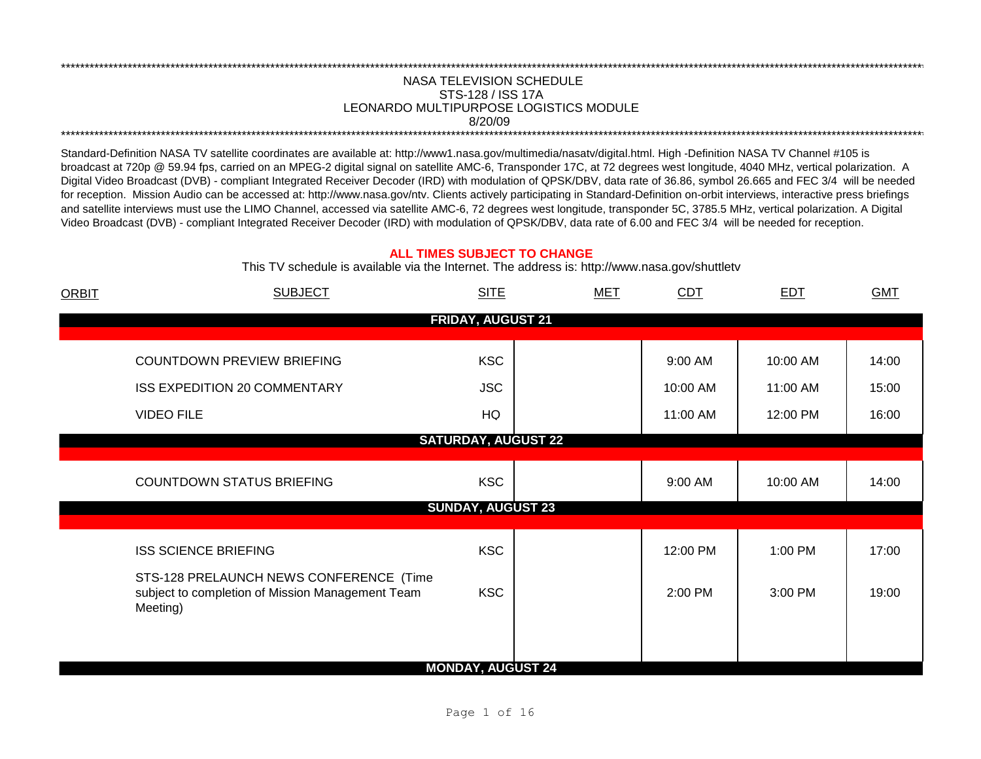## NASA TELEVISION SCHEDULE STS-128 / ISS 17A 8/20/09 \*\*\*\*\*\*\*\*\*\*\*\*\*\*\*\*\*\*\*\*\*\*\*\*\*\*\*\*\*\*\*\*\*\*\*\*\*\*\*\*\*\*\*\*\*\*\*\*\*\*\*\*\*\*\*\*\*\*\*\*\*\*\*\*\*\*\*\*\*\*\*\*\*\*\*\*\*\*\*\*\*\*\*\*\*\*\*\*\*\*\*\*\*\*\*\*\*\*\*\*\*\*\*\*\*\*\*\*\*\*\*\*\*\*\*\*\*\*\*\*\*\*\*\*\*\*\*\*\*\*\*\*\*\*\*\*\*\*\*\*\*\*\*\*\*\*\*\*\*\*\*\*\*\*\*\*\*\*\*\*\*\*\*\*\*\*\*\*\*\*\*\*\*\*\*\*\*\*\*\*\*\*\*\*\* LEONARDO MULTIPURPOSE LOGISTICS MODULE

\*\*\*\*\*\*\*\*\*\*\*\*\*\*\*\*\*\*\*\*\*\*\*\*\*\*\*\*\*\*\*\*\*\*\*\*\*\*\*\*\*\*\*\*\*\*\*\*\*\*\*\*\*\*\*\*\*\*\*\*\*\*\*\*\*\*\*\*\*\*\*\*\*\*\*\*\*\*\*\*\*\*\*\*\*\*\*\*\*\*\*\*\*\*\*\*\*\*\*\*\*\*\*\*\*\*\*\*\*\*\*\*\*\*\*\*\*\*\*\*\*\*\*\*\*\*\*\*\*\*\*\*\*\*\*\*\*\*\*\*\*\*\*\*\*\*\*\*\*\*\*\*\*\*\*\*\*\*\*\*\*\*\*\*\*\*\*\*\*\*\*\*\*\*\*\*\*\*\*\*\*\*\*\*\*

Standard-Definition NASA TV satellite coordinates are available at: http://www1.nasa.gov/multimedia/nasatv/digital.html. High -Definition NASA TV Channel #105 is broadcast at 720p @ 59.94 fps, carried on an MPEG-2 digital signal on satellite AMC-6, Transponder 17C, at 72 degrees west longitude, 4040 MHz, vertical polarization. A Digital Video Broadcast (DVB) - compliant Integrated Receiver Decoder (IRD) with modulation of QPSK/DBV, data rate of 36.86, symbol 26.665 and FEC 3/4 will be needed for reception. Mission Audio can be accessed at: http://www.nasa.gov/ntv. Clients actively participating in Standard-Definition on-orbit interviews, interactive press briefings and satellite interviews must use the LIMO Channel, accessed via satellite AMC-6, 72 degrees west longitude, transponder 5C, 3785.5 MHz, vertical polarization. A Digital Video Broadcast (DVB) - compliant Integrated Receiver Decoder (IRD) with modulation of QPSK/DBV, data rate of 6.00 and FEC 3/4 will be needed for reception.

## **ALL TIMES SUBJECT TO CHANGE**

This TV schedule is available via the Internet. The address is: http://www.nasa.gov/shuttletv

| <b>ORBIT</b> | <b>SUBJECT</b>                                                                                          | <b>SITE</b>                | <b>MET</b> | CDT      | <b>EDT</b> | <b>GMT</b> |
|--------------|---------------------------------------------------------------------------------------------------------|----------------------------|------------|----------|------------|------------|
|              |                                                                                                         | <b>FRIDAY, AUGUST 21</b>   |            |          |            |            |
|              |                                                                                                         |                            |            |          |            |            |
|              | COUNTDOWN PREVIEW BRIEFING                                                                              | <b>KSC</b>                 |            | 9:00 AM  | 10:00 AM   | 14:00      |
|              | ISS EXPEDITION 20 COMMENTARY                                                                            | <b>JSC</b>                 |            | 10:00 AM | 11:00 AM   | 15:00      |
|              | <b>VIDEO FILE</b>                                                                                       | HQ                         |            | 11:00 AM | 12:00 PM   | 16:00      |
|              |                                                                                                         | <b>SATURDAY, AUGUST 22</b> |            |          |            |            |
|              | <b>COUNTDOWN STATUS BRIEFING</b>                                                                        | <b>KSC</b>                 |            | 9:00 AM  | 10:00 AM   | 14:00      |
|              |                                                                                                         | <b>SUNDAY, AUGUST 23</b>   |            |          |            |            |
|              | <b>ISS SCIENCE BRIEFING</b>                                                                             | <b>KSC</b>                 |            | 12:00 PM | 1:00 PM    | 17:00      |
|              | STS-128 PRELAUNCH NEWS CONFERENCE (Time<br>subject to completion of Mission Management Team<br>Meeting) | <b>KSC</b>                 |            | 2:00 PM  | 3:00 PM    | 19:00      |
|              |                                                                                                         | <b>MONDAY, AUGUST 24</b>   |            |          |            |            |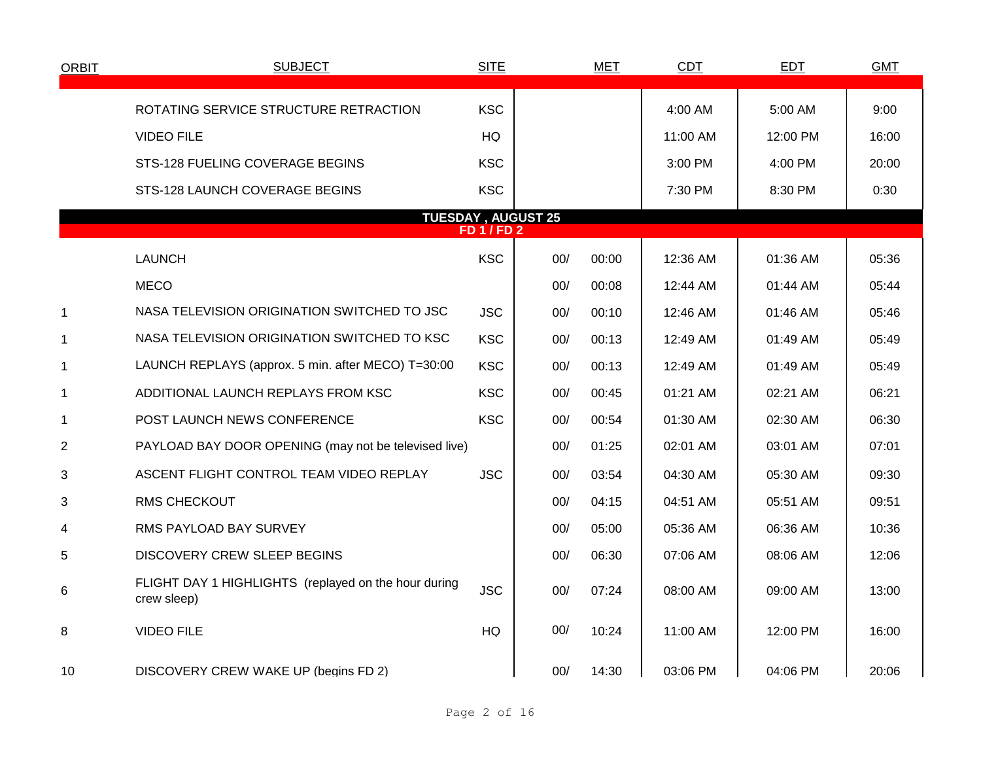| <b>ORBIT</b>   | <b>SUBJECT</b>                                                      | <b>SITE</b>    |                           | <b>MET</b> | <b>CDT</b> | <b>EDT</b> | <b>GMT</b> |
|----------------|---------------------------------------------------------------------|----------------|---------------------------|------------|------------|------------|------------|
|                |                                                                     |                |                           |            |            |            |            |
|                | ROTATING SERVICE STRUCTURE RETRACTION                               | <b>KSC</b>     |                           |            | 4:00 AM    | 5:00 AM    | 9:00       |
|                | <b>VIDEO FILE</b>                                                   | HQ             |                           |            | 11:00 AM   | 12:00 PM   | 16:00      |
|                | STS-128 FUELING COVERAGE BEGINS                                     | <b>KSC</b>     |                           |            | 3:00 PM    | 4:00 PM    | 20:00      |
|                | STS-128 LAUNCH COVERAGE BEGINS                                      | <b>KSC</b>     |                           |            | 7:30 PM    | 8:30 PM    | 0:30       |
|                |                                                                     | <b>FD1/FD2</b> | <b>TUESDAY, AUGUST 25</b> |            |            |            |            |
|                |                                                                     |                |                           |            |            |            |            |
|                | <b>LAUNCH</b>                                                       | <b>KSC</b>     | 00/                       | 00:00      | 12:36 AM   | 01:36 AM   | 05:36      |
|                | <b>MECO</b>                                                         |                | 00/                       | 00:08      | 12:44 AM   | 01:44 AM   | 05:44      |
| 1              | NASA TELEVISION ORIGINATION SWITCHED TO JSC                         | <b>JSC</b>     | 00/                       | 00:10      | 12:46 AM   | 01:46 AM   | 05:46      |
| $\mathbf{1}$   | NASA TELEVISION ORIGINATION SWITCHED TO KSC                         | <b>KSC</b>     | 00/                       | 00:13      | 12:49 AM   | 01:49 AM   | 05:49      |
| $\mathbf 1$    | LAUNCH REPLAYS (approx. 5 min. after MECO) T=30:00                  | <b>KSC</b>     | 00/                       | 00:13      | 12:49 AM   | 01:49 AM   | 05:49      |
| 1              | ADDITIONAL LAUNCH REPLAYS FROM KSC                                  | <b>KSC</b>     | 00/                       | 00:45      | 01:21 AM   | 02:21 AM   | 06:21      |
| 1              | POST LAUNCH NEWS CONFERENCE                                         | <b>KSC</b>     | 00/                       | 00:54      | 01:30 AM   | 02:30 AM   | 06:30      |
| $\overline{2}$ | PAYLOAD BAY DOOR OPENING (may not be televised live)                |                | 00/                       | 01:25      | 02:01 AM   | 03:01 AM   | 07:01      |
| 3              | ASCENT FLIGHT CONTROL TEAM VIDEO REPLAY                             | <b>JSC</b>     | 00/                       | 03:54      | 04:30 AM   | 05:30 AM   | 09:30      |
| 3              | <b>RMS CHECKOUT</b>                                                 |                | 00/                       | 04:15      | 04:51 AM   | 05:51 AM   | 09:51      |
| 4              | RMS PAYLOAD BAY SURVEY                                              |                | 00/                       | 05:00      | 05:36 AM   | 06:36 AM   | 10:36      |
| 5              | <b>DISCOVERY CREW SLEEP BEGINS</b>                                  |                | 00/                       | 06:30      | 07:06 AM   | 08:06 AM   | 12:06      |
| 6              | FLIGHT DAY 1 HIGHLIGHTS (replayed on the hour during<br>crew sleep) | <b>JSC</b>     | 00/                       | 07:24      | 08:00 AM   | 09:00 AM   | 13:00      |
| 8              | <b>VIDEO FILE</b>                                                   | HQ             | 00/                       | 10:24      | 11:00 AM   | 12:00 PM   | 16:00      |
| 10             | DISCOVERY CREW WAKE UP (begins FD 2)                                |                | 00/                       | 14:30      | 03:06 PM   | 04:06 PM   | 20:06      |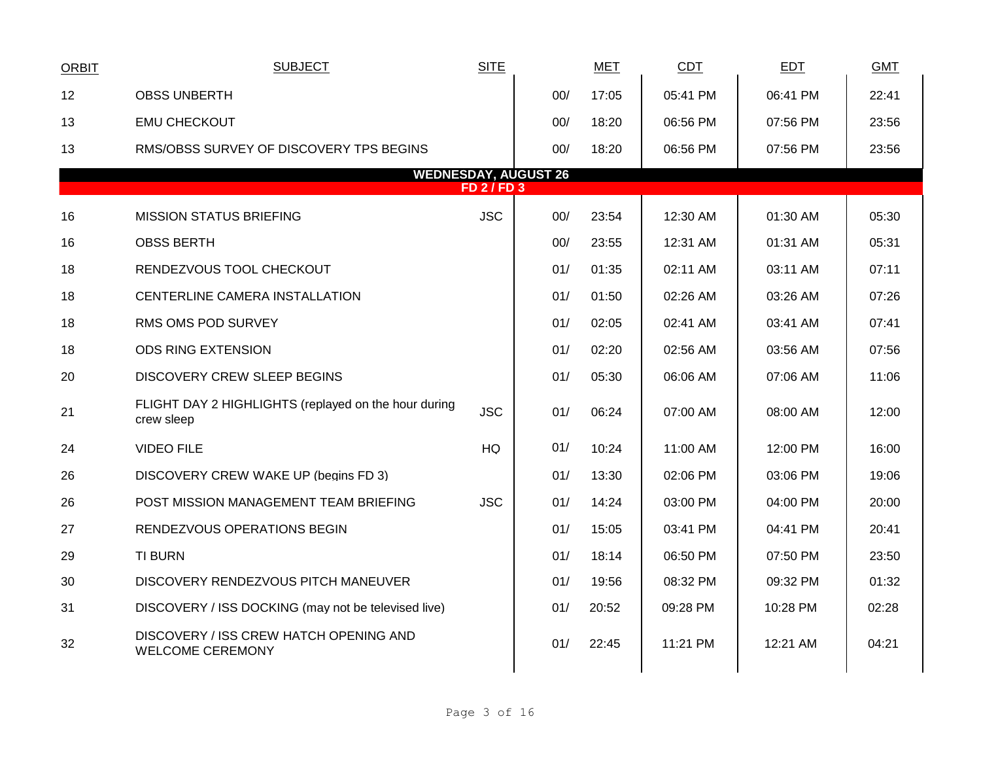| <b>ORBIT</b> | <b>SUBJECT</b>                                                     | <b>SITE</b>      |                             | MET   | CDT      | EDT      | <b>GMT</b> |  |
|--------------|--------------------------------------------------------------------|------------------|-----------------------------|-------|----------|----------|------------|--|
| 12           | <b>OBSS UNBERTH</b>                                                |                  | 00/                         | 17:05 | 05:41 PM | 06:41 PM | 22:41      |  |
| 13           | <b>EMU CHECKOUT</b>                                                |                  | 00/                         | 18:20 | 06:56 PM | 07:56 PM | 23:56      |  |
| 13           | RMS/OBSS SURVEY OF DISCOVERY TPS BEGINS                            |                  | 00/                         | 18:20 | 06:56 PM | 07:56 PM | 23:56      |  |
|              |                                                                    | <b>FD 2/FD 3</b> | <b>WEDNESDAY, AUGUST 26</b> |       |          |          |            |  |
|              |                                                                    |                  |                             |       |          |          |            |  |
| 16           | <b>MISSION STATUS BRIEFING</b>                                     | <b>JSC</b>       | 00/                         | 23:54 | 12:30 AM | 01:30 AM | 05:30      |  |
| 16           | <b>OBSS BERTH</b>                                                  |                  | 00/                         | 23:55 | 12:31 AM | 01:31 AM | 05:31      |  |
| 18           | RENDEZVOUS TOOL CHECKOUT                                           |                  | 01/                         | 01:35 | 02:11 AM | 03:11 AM | 07:11      |  |
| 18           | CENTERLINE CAMERA INSTALLATION                                     |                  | 01/                         | 01:50 | 02:26 AM | 03:26 AM | 07:26      |  |
| 18           | RMS OMS POD SURVEY                                                 |                  | 01/                         | 02:05 | 02:41 AM | 03:41 AM | 07:41      |  |
| 18           | <b>ODS RING EXTENSION</b>                                          |                  | 01/                         | 02:20 | 02:56 AM | 03:56 AM | 07:56      |  |
| 20           | DISCOVERY CREW SLEEP BEGINS                                        |                  | 01/                         | 05:30 | 06:06 AM | 07:06 AM | 11:06      |  |
| 21           | FLIGHT DAY 2 HIGHLIGHTS (replayed on the hour during<br>crew sleep | <b>JSC</b>       | 01/                         | 06:24 | 07:00 AM | 08:00 AM | 12:00      |  |
| 24           | <b>VIDEO FILE</b>                                                  | HQ               | 01/                         | 10:24 | 11:00 AM | 12:00 PM | 16:00      |  |
| 26           | DISCOVERY CREW WAKE UP (begins FD 3)                               |                  | 01/                         | 13:30 | 02:06 PM | 03:06 PM | 19:06      |  |
| 26           | POST MISSION MANAGEMENT TEAM BRIEFING                              | <b>JSC</b>       | 01/                         | 14:24 | 03:00 PM | 04:00 PM | 20:00      |  |
| 27           | RENDEZVOUS OPERATIONS BEGIN                                        |                  | 01/                         | 15:05 | 03:41 PM | 04:41 PM | 20:41      |  |
| 29           | <b>TI BURN</b>                                                     |                  | 01/                         | 18:14 | 06:50 PM | 07:50 PM | 23:50      |  |
| 30           | DISCOVERY RENDEZVOUS PITCH MANEUVER                                |                  | 01/                         | 19:56 | 08:32 PM | 09:32 PM | 01:32      |  |
| 31           | DISCOVERY / ISS DOCKING (may not be televised live)                |                  | 01/                         | 20:52 | 09:28 PM | 10:28 PM | 02:28      |  |
| 32           | DISCOVERY / ISS CREW HATCH OPENING AND<br><b>WELCOME CEREMONY</b>  |                  | 01/                         | 22:45 | 11:21 PM | 12:21 AM | 04:21      |  |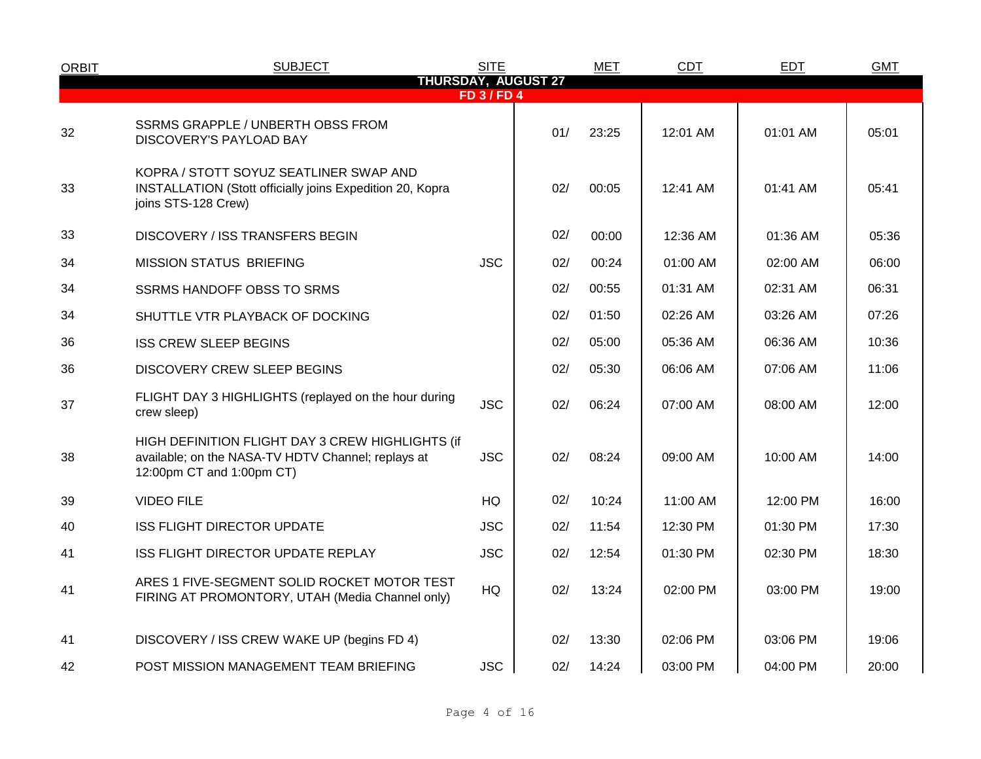| <b>ORBIT</b> | <b>SUBJECT</b>                                                                                                                      | <b>SITE</b>      |                            | <b>MET</b> | <b>CDT</b> | <b>EDT</b> | <b>GMT</b> |
|--------------|-------------------------------------------------------------------------------------------------------------------------------------|------------------|----------------------------|------------|------------|------------|------------|
|              |                                                                                                                                     | <b>FD 3/FD 4</b> | <b>THURSDAY, AUGUST 27</b> |            |            |            |            |
| 32           | SSRMS GRAPPLE / UNBERTH OBSS FROM<br>DISCOVERY'S PAYLOAD BAY                                                                        |                  | 01/                        | 23:25      | 12:01 AM   | 01:01 AM   | 05:01      |
| 33           | KOPRA / STOTT SOYUZ SEATLINER SWAP AND<br><b>INSTALLATION (Stott officially joins Expedition 20, Kopra</b><br>joins STS-128 Crew)   |                  | 02/                        | 00:05      | 12:41 AM   | 01:41 AM   | 05:41      |
| 33           | <b>DISCOVERY / ISS TRANSFERS BEGIN</b>                                                                                              |                  | 02/                        | 00:00      | 12:36 AM   | 01:36 AM   | 05:36      |
| 34           | <b>MISSION STATUS BRIEFING</b>                                                                                                      | <b>JSC</b>       | 02/                        | 00:24      | 01:00 AM   | 02:00 AM   | 06:00      |
| 34           | <b>SSRMS HANDOFF OBSS TO SRMS</b>                                                                                                   |                  | 02/                        | 00:55      | 01:31 AM   | 02:31 AM   | 06:31      |
| 34           | SHUTTLE VTR PLAYBACK OF DOCKING                                                                                                     |                  | 02/                        | 01:50      | 02:26 AM   | 03:26 AM   | 07:26      |
| 36           | <b>ISS CREW SLEEP BEGINS</b>                                                                                                        |                  | 02/                        | 05:00      | 05:36 AM   | 06:36 AM   | 10:36      |
| 36           | <b>DISCOVERY CREW SLEEP BEGINS</b>                                                                                                  |                  | 02/                        | 05:30      | 06:06 AM   | 07:06 AM   | 11:06      |
| 37           | FLIGHT DAY 3 HIGHLIGHTS (replayed on the hour during<br>crew sleep)                                                                 | <b>JSC</b>       | 02/                        | 06:24      | 07:00 AM   | 08:00 AM   | 12:00      |
| 38           | HIGH DEFINITION FLIGHT DAY 3 CREW HIGHLIGHTS (if<br>available; on the NASA-TV HDTV Channel; replays at<br>12:00pm CT and 1:00pm CT) | <b>JSC</b>       | 02/                        | 08:24      | 09:00 AM   | 10:00 AM   | 14:00      |
| 39           | <b>VIDEO FILE</b>                                                                                                                   | HQ               | 02/                        | 10:24      | 11:00 AM   | 12:00 PM   | 16:00      |
| 40           | <b>ISS FLIGHT DIRECTOR UPDATE</b>                                                                                                   | <b>JSC</b>       | 02/                        | 11:54      | 12:30 PM   | 01:30 PM   | 17:30      |
| 41           | ISS FLIGHT DIRECTOR UPDATE REPLAY                                                                                                   | <b>JSC</b>       | 02/                        | 12:54      | 01:30 PM   | 02:30 PM   | 18:30      |
| 41           | ARES 1 FIVE-SEGMENT SOLID ROCKET MOTOR TEST<br>FIRING AT PROMONTORY, UTAH (Media Channel only)                                      | <b>HQ</b>        | 02/                        | 13:24      | 02:00 PM   | 03:00 PM   | 19:00      |
| 41           | DISCOVERY / ISS CREW WAKE UP (begins FD 4)                                                                                          |                  | 02/                        | 13:30      | 02:06 PM   | 03:06 PM   | 19:06      |
| 42           | POST MISSION MANAGEMENT TEAM BRIEFING                                                                                               | <b>JSC</b>       | 02/                        | 14:24      | 03:00 PM   | 04:00 PM   | 20:00      |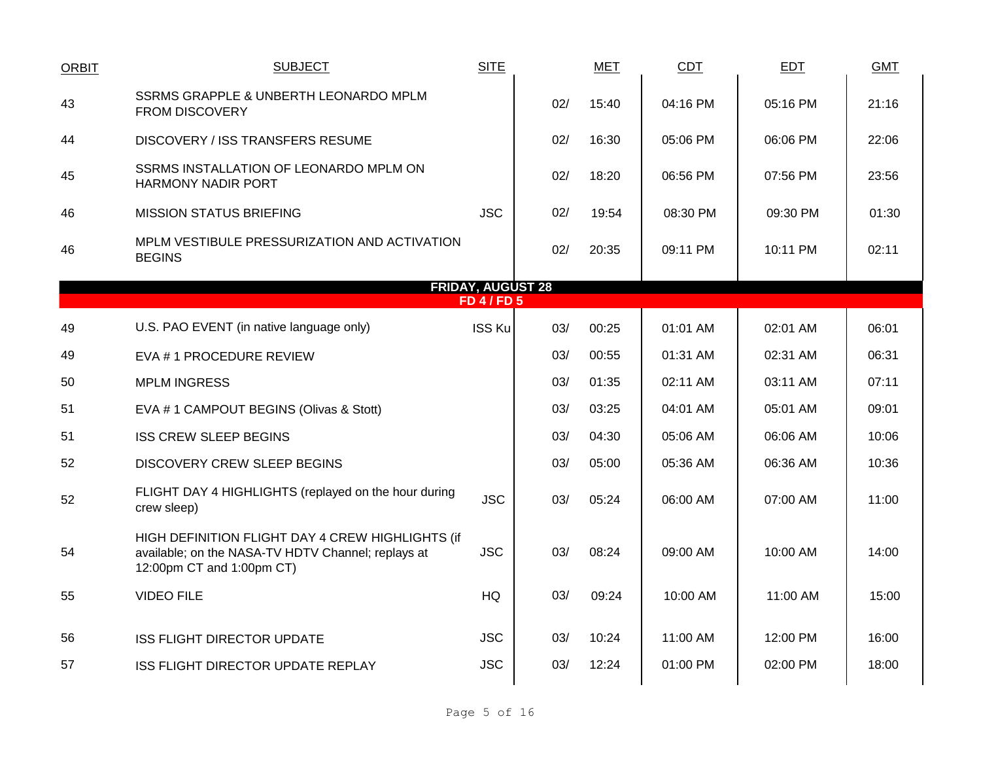| <b>ORBIT</b> | <b>SUBJECT</b>                                                                                                                      | <b>SITE</b>                                  |     | <b>MET</b> | CDT      | <b>EDT</b> | <b>GMT</b> |
|--------------|-------------------------------------------------------------------------------------------------------------------------------------|----------------------------------------------|-----|------------|----------|------------|------------|
| 43           | SSRMS GRAPPLE & UNBERTH LEONARDO MPLM<br><b>FROM DISCOVERY</b>                                                                      |                                              | 02/ | 15:40      | 04:16 PM | 05:16 PM   | 21:16      |
| 44           | DISCOVERY / ISS TRANSFERS RESUME                                                                                                    |                                              | 02/ | 16:30      | 05:06 PM | 06:06 PM   | 22:06      |
| 45           | SSRMS INSTALLATION OF LEONARDO MPLM ON<br><b>HARMONY NADIR PORT</b>                                                                 |                                              | 02/ | 18:20      | 06:56 PM | 07:56 PM   | 23:56      |
| 46           | <b>MISSION STATUS BRIEFING</b>                                                                                                      | <b>JSC</b>                                   | 02/ | 19:54      | 08:30 PM | 09:30 PM   | 01:30      |
| 46           | MPLM VESTIBULE PRESSURIZATION AND ACTIVATION<br><b>BEGINS</b>                                                                       |                                              | 02/ | 20:35      | 09:11 PM | 10:11 PM   | 02:11      |
|              |                                                                                                                                     | <b>FRIDAY, AUGUST 28</b><br><b>FD 4/FD 5</b> |     |            |          |            |            |
| 49           | U.S. PAO EVENT (in native language only)                                                                                            | ISS Ku                                       | 03/ | 00:25      | 01:01 AM | 02:01 AM   | 06:01      |
| 49           | EVA #1 PROCEDURE REVIEW                                                                                                             |                                              | 03/ | 00:55      | 01:31 AM | 02:31 AM   | 06:31      |
| 50           | <b>MPLM INGRESS</b>                                                                                                                 |                                              | 03/ | 01:35      | 02:11 AM | 03:11 AM   | 07:11      |
| 51           | EVA # 1 CAMPOUT BEGINS (Olivas & Stott)                                                                                             |                                              | 03/ | 03:25      | 04:01 AM | 05:01 AM   | 09:01      |
| 51           | <b>ISS CREW SLEEP BEGINS</b>                                                                                                        |                                              | 03/ | 04:30      | 05:06 AM | 06:06 AM   | 10:06      |
| 52           | DISCOVERY CREW SLEEP BEGINS                                                                                                         |                                              | 03/ | 05:00      | 05:36 AM | 06:36 AM   | 10:36      |
| 52           | FLIGHT DAY 4 HIGHLIGHTS (replayed on the hour during<br>crew sleep)                                                                 | <b>JSC</b>                                   | 03/ | 05:24      | 06:00 AM | 07:00 AM   | 11:00      |
| 54           | HIGH DEFINITION FLIGHT DAY 4 CREW HIGHLIGHTS (if<br>available; on the NASA-TV HDTV Channel; replays at<br>12:00pm CT and 1:00pm CT) | <b>JSC</b>                                   | 03/ | 08:24      | 09:00 AM | 10:00 AM   | 14:00      |
| 55           | <b>VIDEO FILE</b>                                                                                                                   | HQ                                           | 03/ | 09:24      | 10:00 AM | 11:00 AM   | 15:00      |
| 56           | <b>ISS FLIGHT DIRECTOR UPDATE</b>                                                                                                   | <b>JSC</b>                                   | 03/ | 10:24      | 11:00 AM | 12:00 PM   | 16:00      |
| 57           | <b>ISS FLIGHT DIRECTOR UPDATE REPLAY</b>                                                                                            | <b>JSC</b>                                   | 03/ | 12:24      | 01:00 PM | 02:00 PM   | 18:00      |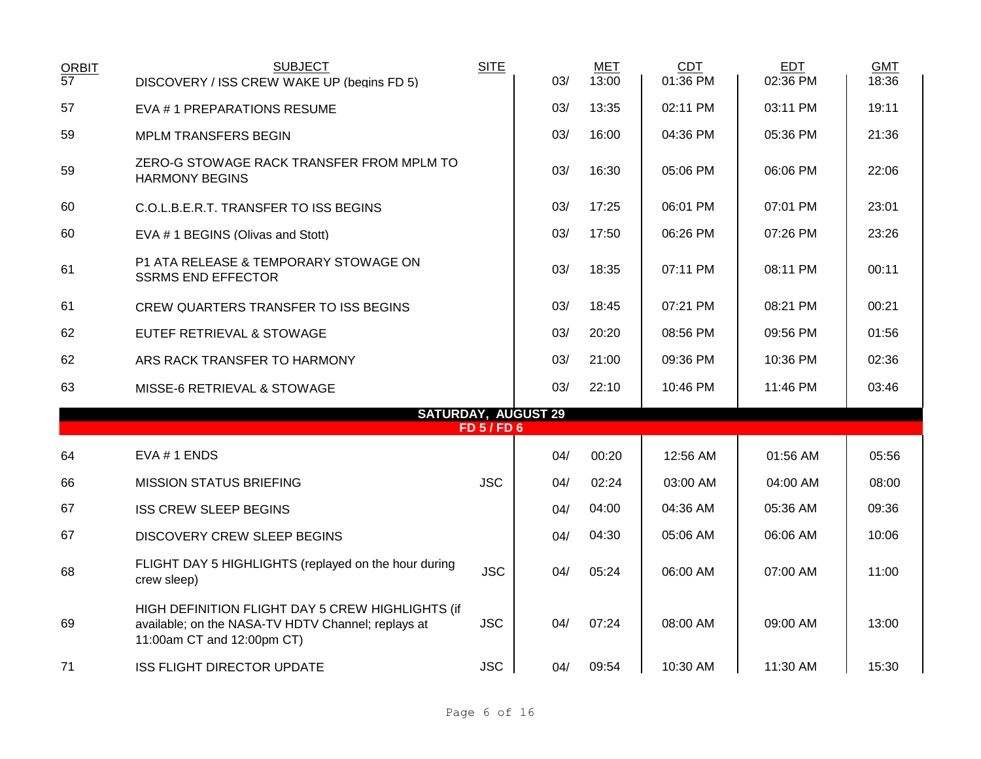| <b>ORBIT</b><br>$\overline{57}$ | <b>SUBJECT</b><br>DISCOVERY / ISS CREW WAKE UP (begins FD 5)                                                                         | <b>SITE</b>      | 03/                        | <b>MET</b><br>13:00 | <b>CDT</b><br>01:36 PM | <b>EDT</b><br>02:36 PM | <b>GMT</b><br>18:36 |
|---------------------------------|--------------------------------------------------------------------------------------------------------------------------------------|------------------|----------------------------|---------------------|------------------------|------------------------|---------------------|
| 57                              | EVA #1 PREPARATIONS RESUME                                                                                                           |                  | 03/                        | 13:35               | 02:11 PM               | 03:11 PM               | 19:11               |
| 59                              | <b>MPLM TRANSFERS BEGIN</b>                                                                                                          |                  | 03/                        | 16:00               | 04:36 PM               | 05:36 PM               | 21:36               |
| 59                              | ZERO-G STOWAGE RACK TRANSFER FROM MPLM TO<br><b>HARMONY BEGINS</b>                                                                   |                  | 03/                        | 16:30               | 05:06 PM               | 06:06 PM               | 22:06               |
| 60                              | C.O.L.B.E.R.T. TRANSFER TO ISS BEGINS                                                                                                |                  | 03/                        | 17:25               | 06:01 PM               | 07:01 PM               | 23:01               |
| 60                              | EVA # 1 BEGINS (Olivas and Stott)                                                                                                    |                  | 03/                        | 17:50               | 06:26 PM               | 07:26 PM               | 23:26               |
| 61                              | P1 ATA RELEASE & TEMPORARY STOWAGE ON<br><b>SSRMS END EFFECTOR</b>                                                                   |                  | 03/                        | 18:35               | 07:11 PM               | 08:11 PM               | 00:11               |
| 61                              | CREW QUARTERS TRANSFER TO ISS BEGINS                                                                                                 |                  | 03/                        | 18:45               | 07:21 PM               | 08:21 PM               | 00:21               |
| 62                              | EUTEF RETRIEVAL & STOWAGE                                                                                                            |                  | 03/                        | 20:20               | 08:56 PM               | 09:56 PM               | 01:56               |
| 62                              | ARS RACK TRANSFER TO HARMONY                                                                                                         |                  | 03/                        | 21:00               | 09:36 PM               | 10:36 PM               | 02:36               |
| 63                              | MISSE-6 RETRIEVAL & STOWAGE                                                                                                          |                  | 03/                        | 22:10               | 10:46 PM               | 11:46 PM               | 03:46               |
|                                 |                                                                                                                                      | <b>FD 5/FD 6</b> | <b>SATURDAY, AUGUST 29</b> |                     |                        |                        |                     |
| 64                              | EVA #1 ENDS                                                                                                                          |                  | 04/                        | 00:20               | 12:56 AM               | 01:56 AM               | 05:56               |
| 66                              | <b>MISSION STATUS BRIEFING</b>                                                                                                       | <b>JSC</b>       | 04/                        | 02:24               | 03:00 AM               | 04:00 AM               | 08:00               |
| 67                              | <b>ISS CREW SLEEP BEGINS</b>                                                                                                         |                  | 04/                        | 04:00               | 04:36 AM               | 05:36 AM               | 09:36               |
| 67                              | <b>DISCOVERY CREW SLEEP BEGINS</b>                                                                                                   |                  | 04/                        | 04:30               | 05:06 AM               | 06:06 AM               | 10:06               |
| 68                              | FLIGHT DAY 5 HIGHLIGHTS (replayed on the hour during<br>crew sleep)                                                                  | <b>JSC</b>       | 04/                        | 05:24               | 06:00 AM               | 07:00 AM               | 11:00               |
| 69                              | HIGH DEFINITION FLIGHT DAY 5 CREW HIGHLIGHTS (if<br>available; on the NASA-TV HDTV Channel; replays at<br>11:00am CT and 12:00pm CT) | <b>JSC</b>       | 04/                        | 07:24               | 08:00 AM               | 09:00 AM               | 13:00               |
| 71                              | <b>ISS FLIGHT DIRECTOR UPDATE</b>                                                                                                    | <b>JSC</b>       | 04/                        | 09:54               | 10:30 AM               | 11:30 AM               | 15:30               |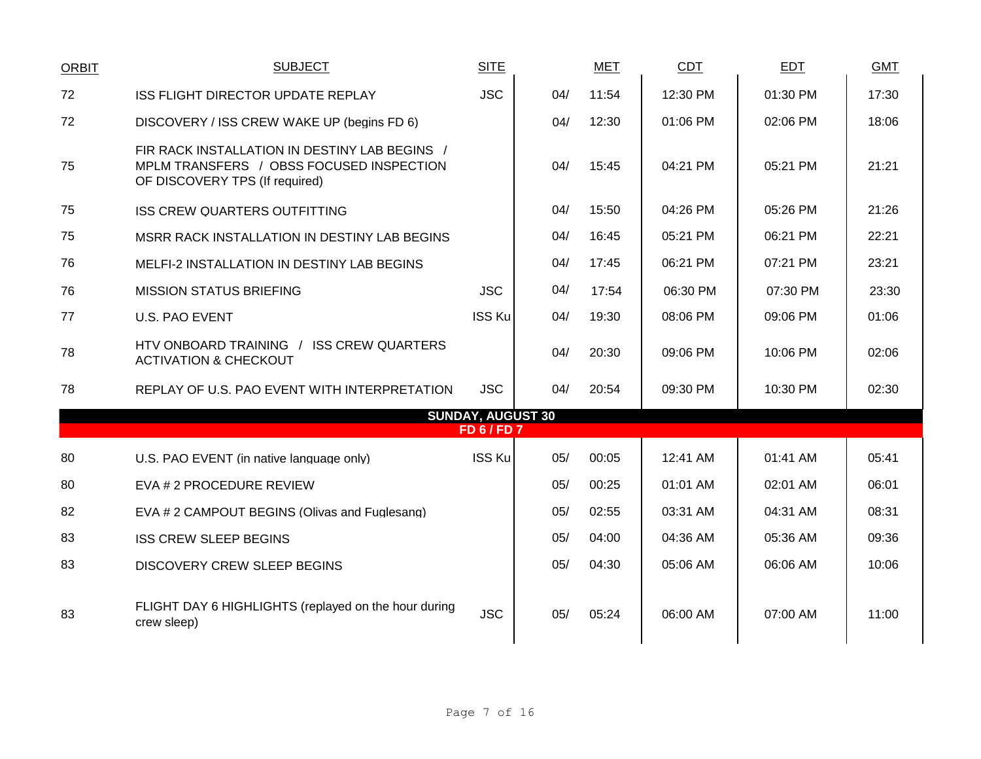| <b>ORBIT</b> | <b>SUBJECT</b>                                                                                                              | <b>SITE</b>                                    |     | <b>MET</b> | <b>CDT</b> | <b>EDT</b> | <b>GMT</b> |
|--------------|-----------------------------------------------------------------------------------------------------------------------------|------------------------------------------------|-----|------------|------------|------------|------------|
| 72           | ISS FLIGHT DIRECTOR UPDATE REPLAY                                                                                           | <b>JSC</b>                                     | 04/ | 11:54      | 12:30 PM   | 01:30 PM   | 17:30      |
| 72           | DISCOVERY / ISS CREW WAKE UP (begins FD 6)                                                                                  |                                                | 04/ | 12:30      | 01:06 PM   | 02:06 PM   | 18:06      |
| 75           | FIR RACK INSTALLATION IN DESTINY LAB BEGINS /<br>MPLM TRANSFERS / OBSS FOCUSED INSPECTION<br>OF DISCOVERY TPS (If required) |                                                | 04/ | 15:45      | 04:21 PM   | 05:21 PM   | 21:21      |
| 75           | <b>ISS CREW QUARTERS OUTFITTING</b>                                                                                         |                                                | 04/ | 15:50      | 04:26 PM   | 05:26 PM   | 21:26      |
| 75           | MSRR RACK INSTALLATION IN DESTINY LAB BEGINS                                                                                |                                                | 04/ | 16:45      | 05:21 PM   | 06:21 PM   | 22:21      |
| 76           | <b>MELFI-2 INSTALLATION IN DESTINY LAB BEGINS</b>                                                                           |                                                | 04/ | 17:45      | 06:21 PM   | 07:21 PM   | 23:21      |
| 76           | <b>MISSION STATUS BRIEFING</b>                                                                                              | <b>JSC</b>                                     | 04/ | 17:54      | 06:30 PM   | 07:30 PM   | 23:30      |
| 77           | <b>U.S. PAO EVENT</b>                                                                                                       | <b>ISS Ku</b>                                  | 04/ | 19:30      | 08:06 PM   | 09:06 PM   | 01:06      |
| 78           | HTV ONBOARD TRAINING / ISS CREW QUARTERS<br><b>ACTIVATION &amp; CHECKOUT</b>                                                |                                                | 04/ | 20:30      | 09:06 PM   | 10:06 PM   | 02:06      |
| 78           | REPLAY OF U.S. PAO EVENT WITH INTERPRETATION                                                                                | <b>JSC</b>                                     | 04/ | 20:54      | 09:30 PM   | 10:30 PM   | 02:30      |
|              |                                                                                                                             | <b>SUNDAY, AUGUST 30</b><br><b>FD 6 / FD 7</b> |     |            |            |            |            |
|              |                                                                                                                             |                                                |     |            |            |            |            |
| 80           | U.S. PAO EVENT (in native language only)                                                                                    | <b>ISS Ku</b>                                  | 05/ | 00:05      | 12:41 AM   | 01:41 AM   | 05:41      |
| 80           | EVA # 2 PROCEDURE REVIEW                                                                                                    |                                                | 05/ | 00:25      | 01:01 AM   | 02:01 AM   | 06:01      |
| 82           | EVA # 2 CAMPOUT BEGINS (Olivas and Fuglesang)                                                                               |                                                | 05/ | 02:55      | 03:31 AM   | 04:31 AM   | 08:31      |
| 83           | <b>ISS CREW SLEEP BEGINS</b>                                                                                                |                                                | 05/ | 04:00      | 04:36 AM   | 05:36 AM   | 09:36      |
| 83           | <b>DISCOVERY CREW SLEEP BEGINS</b>                                                                                          |                                                | 05/ | 04:30      | 05:06 AM   | 06:06 AM   | 10:06      |
| 83           | FLIGHT DAY 6 HIGHLIGHTS (replayed on the hour during<br>crew sleep)                                                         | <b>JSC</b>                                     | 05/ | 05:24      | 06:00 AM   | 07:00 AM   | 11:00      |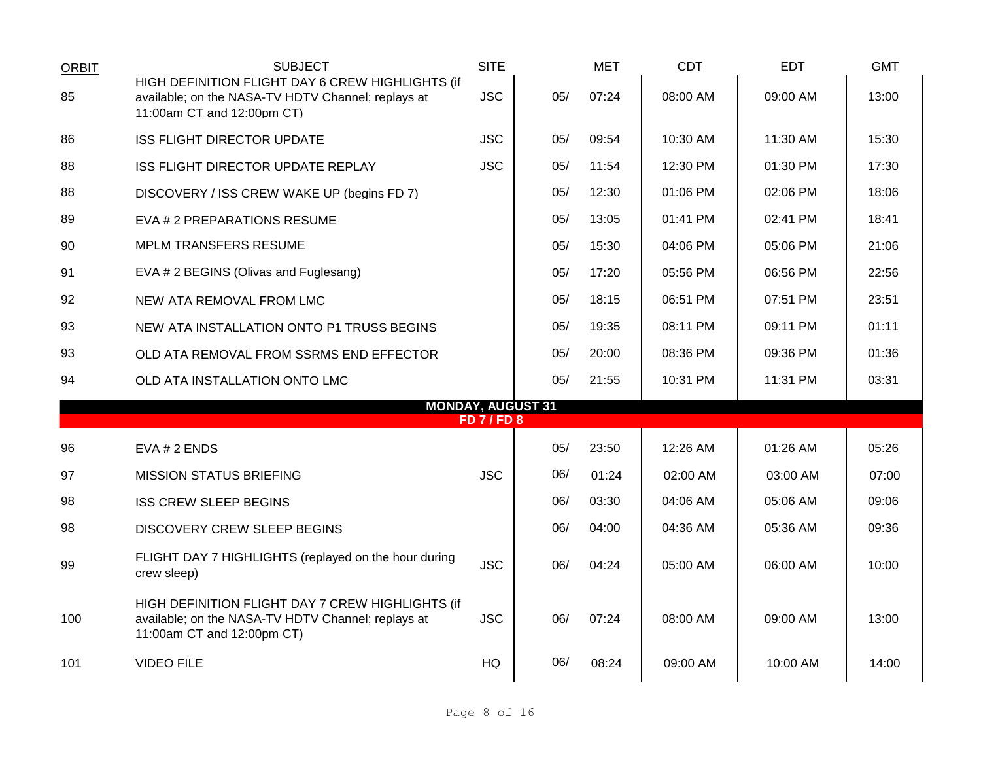| <b>ORBIT</b> | <b>SUBJECT</b>                                                                                                                       | <b>SITE</b>        |     | MET   | CDT      | <b>EDT</b> | <b>GMT</b> |
|--------------|--------------------------------------------------------------------------------------------------------------------------------------|--------------------|-----|-------|----------|------------|------------|
| 85           | HIGH DEFINITION FLIGHT DAY 6 CREW HIGHLIGHTS (if<br>available; on the NASA-TV HDTV Channel; replays at<br>11:00am CT and 12:00pm CT) | <b>JSC</b>         | 05/ | 07:24 | 08:00 AM | 09:00 AM   | 13:00      |
| 86           | <b>ISS FLIGHT DIRECTOR UPDATE</b>                                                                                                    | <b>JSC</b>         | 05/ | 09:54 | 10:30 AM | 11:30 AM   | 15:30      |
| 88           | ISS FLIGHT DIRECTOR UPDATE REPLAY                                                                                                    | <b>JSC</b>         | 05/ | 11:54 | 12:30 PM | 01:30 PM   | 17:30      |
| 88           | DISCOVERY / ISS CREW WAKE UP (begins FD 7)                                                                                           |                    | 05/ | 12:30 | 01:06 PM | 02:06 PM   | 18:06      |
| 89           | EVA # 2 PREPARATIONS RESUME                                                                                                          |                    | 05/ | 13:05 | 01:41 PM | 02:41 PM   | 18:41      |
| 90           | <b>MPLM TRANSFERS RESUME</b>                                                                                                         |                    | 05/ | 15:30 | 04:06 PM | 05:06 PM   | 21:06      |
| 91           | EVA # 2 BEGINS (Olivas and Fuglesang)                                                                                                |                    | 05/ | 17:20 | 05:56 PM | 06:56 PM   | 22:56      |
| 92           | NEW ATA REMOVAL FROM LMC                                                                                                             |                    | 05/ | 18:15 | 06:51 PM | 07:51 PM   | 23:51      |
| 93           | NEW ATA INSTALLATION ONTO P1 TRUSS BEGINS                                                                                            |                    | 05/ | 19:35 | 08:11 PM | 09:11 PM   | 01:11      |
| 93           | OLD ATA REMOVAL FROM SSRMS END EFFECTOR                                                                                              |                    | 05/ | 20:00 | 08:36 PM | 09:36 PM   | 01:36      |
| 94           | OLD ATA INSTALLATION ONTO LMC                                                                                                        |                    | 05/ | 21:55 | 10:31 PM | 11:31 PM   | 03:31      |
|              | <b>MONDAY, AUGUST 31</b>                                                                                                             | <b>FD 7 / FD 8</b> |     |       |          |            |            |
| 96           | EVA # 2 ENDS                                                                                                                         |                    | 05/ | 23:50 | 12:26 AM | 01:26 AM   | 05:26      |
| 97           | <b>MISSION STATUS BRIEFING</b>                                                                                                       | <b>JSC</b>         | 06/ | 01:24 | 02:00 AM | 03:00 AM   | 07:00      |
| 98           | <b>ISS CREW SLEEP BEGINS</b>                                                                                                         |                    | 06/ | 03:30 | 04:06 AM | 05:06 AM   | 09:06      |
| 98           | DISCOVERY CREW SLEEP BEGINS                                                                                                          |                    | 06/ | 04:00 | 04:36 AM | 05:36 AM   | 09:36      |
|              |                                                                                                                                      |                    |     |       |          |            |            |
| 99           | FLIGHT DAY 7 HIGHLIGHTS (replayed on the hour during<br>crew sleep)                                                                  | <b>JSC</b>         | 06/ | 04:24 | 05:00 AM | 06:00 AM   | 10:00      |
| 100          | HIGH DEFINITION FLIGHT DAY 7 CREW HIGHLIGHTS (if<br>available; on the NASA-TV HDTV Channel; replays at<br>11:00am CT and 12:00pm CT) | <b>JSC</b>         | 06/ | 07:24 | 08:00 AM | 09:00 AM   | 13:00      |
| 101          | <b>VIDEO FILE</b>                                                                                                                    | HQ                 | 06/ | 08:24 | 09:00 AM | 10:00 AM   | 14:00      |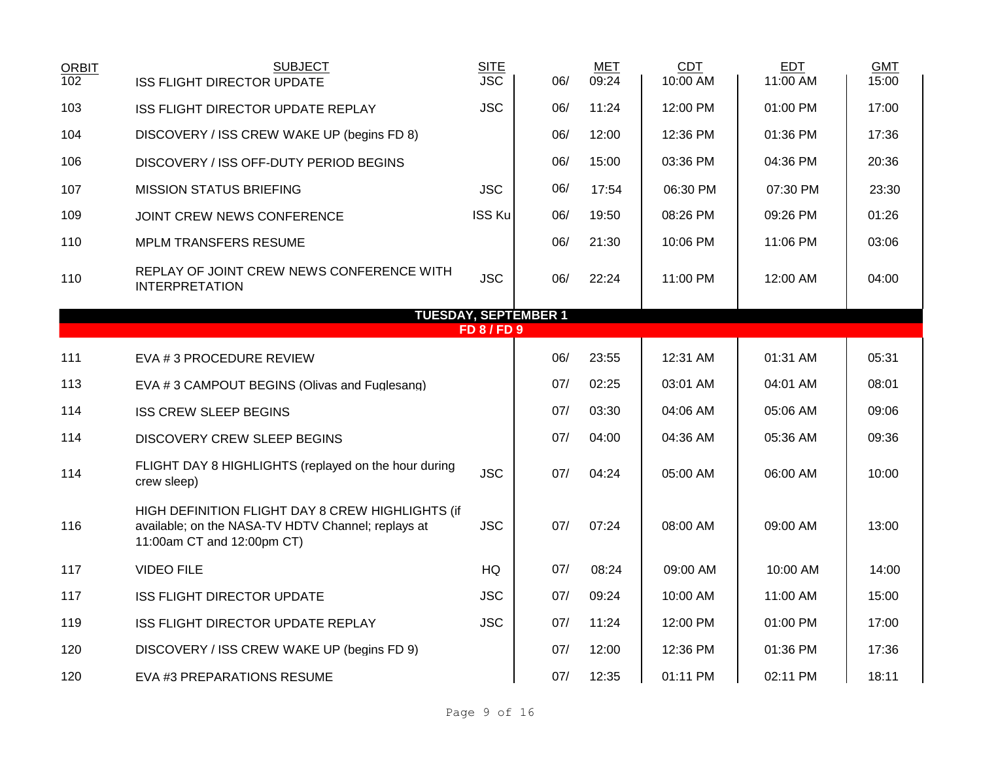| <b>ORBIT</b><br>102 | <b>SUBJECT</b><br><b>ISS FLIGHT DIRECTOR UPDATE</b>                                                                                  | <b>SITE</b><br><b>JSC</b> | 06/                         | <b>MET</b><br>09:24 | <b>CDT</b><br>10:00 AM | <b>EDT</b><br>11:00 AM | <b>GMT</b><br>15:00 |
|---------------------|--------------------------------------------------------------------------------------------------------------------------------------|---------------------------|-----------------------------|---------------------|------------------------|------------------------|---------------------|
| 103                 | ISS FLIGHT DIRECTOR UPDATE REPLAY                                                                                                    | <b>JSC</b>                | 06/                         | 11:24               | 12:00 PM               | 01:00 PM               | 17:00               |
| 104                 | DISCOVERY / ISS CREW WAKE UP (begins FD 8)                                                                                           |                           | 06/                         | 12:00               | 12:36 PM               | 01:36 PM               | 17:36               |
|                     |                                                                                                                                      |                           |                             |                     |                        |                        |                     |
| 106                 | DISCOVERY / ISS OFF-DUTY PERIOD BEGINS                                                                                               |                           | 06/                         | 15:00               | 03:36 PM               | 04:36 PM               | 20:36               |
| 107                 | <b>MISSION STATUS BRIEFING</b>                                                                                                       | <b>JSC</b>                | 06/                         | 17:54               | 06:30 PM               | 07:30 PM               | 23:30               |
| 109                 | JOINT CREW NEWS CONFERENCE                                                                                                           | <b>ISS Ku</b>             | 06/                         | 19:50               | 08:26 PM               | 09:26 PM               | 01:26               |
| 110                 | MPLM TRANSFERS RESUME                                                                                                                |                           | 06/                         | 21:30               | 10:06 PM               | 11:06 PM               | 03:06               |
| 110                 | REPLAY OF JOINT CREW NEWS CONFERENCE WITH<br><b>INTERPRETATION</b>                                                                   | <b>JSC</b>                | 06/                         | 22:24               | 11:00 PM               | 12:00 AM               | 04:00               |
|                     |                                                                                                                                      |                           | <b>TUESDAY, SEPTEMBER 1</b> |                     |                        |                        |                     |
|                     |                                                                                                                                      | <b>FD 8 / FD 9</b>        |                             |                     |                        |                        |                     |
| 111                 | EVA # 3 PROCEDURE REVIEW                                                                                                             |                           | 06/                         | 23:55               | 12:31 AM               | 01:31 AM               | 05:31               |
| 113                 | EVA #3 CAMPOUT BEGINS (Olivas and Fuglesang)                                                                                         |                           | 07/                         | 02:25               | 03:01 AM               | 04:01 AM               | 08:01               |
| 114                 | <b>ISS CREW SLEEP BEGINS</b>                                                                                                         |                           | 07/                         | 03:30               | 04:06 AM               | 05:06 AM               | 09:06               |
| 114                 | DISCOVERY CREW SLEEP BEGINS                                                                                                          |                           | 07/                         | 04:00               | 04:36 AM               | 05:36 AM               | 09:36               |
| 114                 | FLIGHT DAY 8 HIGHLIGHTS (replayed on the hour during<br>crew sleep)                                                                  | <b>JSC</b>                | 07/                         | 04:24               | 05:00 AM               | 06:00 AM               | 10:00               |
| 116                 | HIGH DEFINITION FLIGHT DAY 8 CREW HIGHLIGHTS (if<br>available; on the NASA-TV HDTV Channel; replays at<br>11:00am CT and 12:00pm CT) | <b>JSC</b>                | 07/                         | 07:24               | 08:00 AM               | 09:00 AM               | 13:00               |
| 117                 | <b>VIDEO FILE</b>                                                                                                                    | HQ                        | 07/                         | 08:24               | 09:00 AM               | 10:00 AM               | 14:00               |
| 117                 | <b>ISS FLIGHT DIRECTOR UPDATE</b>                                                                                                    | <b>JSC</b>                | 07/                         | 09:24               | 10:00 AM               | 11:00 AM               | 15:00               |
| 119                 | ISS FLIGHT DIRECTOR UPDATE REPLAY                                                                                                    | <b>JSC</b>                | 07/                         | 11:24               | 12:00 PM               | 01:00 PM               | 17:00               |
| 120                 | DISCOVERY / ISS CREW WAKE UP (begins FD 9)                                                                                           |                           | 07/                         | 12:00               | 12:36 PM               | 01:36 PM               | 17:36               |
| 120                 | EVA #3 PREPARATIONS RESUME                                                                                                           |                           | 07/                         | 12:35               | 01:11 PM               | 02:11 PM               | 18:11               |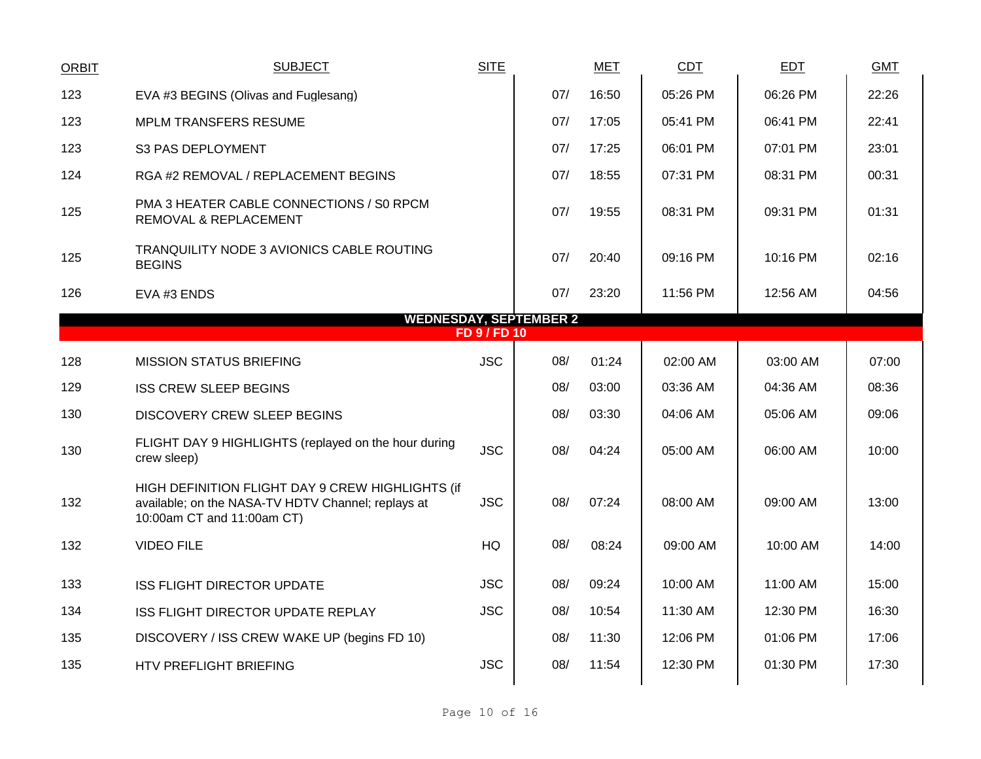| <b>ORBIT</b>                                         | <b>SUBJECT</b>                                                                                                                       | <b>SITE</b> |     | <b>MET</b> | CDT      | <b>EDT</b> | <b>GMT</b> |  |  |  |  |
|------------------------------------------------------|--------------------------------------------------------------------------------------------------------------------------------------|-------------|-----|------------|----------|------------|------------|--|--|--|--|
| 123                                                  | EVA #3 BEGINS (Olivas and Fuglesang)                                                                                                 |             | 07/ | 16:50      | 05:26 PM | 06:26 PM   | 22:26      |  |  |  |  |
| 123                                                  | <b>MPLM TRANSFERS RESUME</b>                                                                                                         |             | 07/ | 17:05      | 05:41 PM | 06:41 PM   | 22:41      |  |  |  |  |
| 123                                                  | S3 PAS DEPLOYMENT                                                                                                                    |             | 07/ | 17:25      | 06:01 PM | 07:01 PM   | 23:01      |  |  |  |  |
| 124                                                  | RGA #2 REMOVAL / REPLACEMENT BEGINS                                                                                                  |             | 07/ | 18:55      | 07:31 PM | 08:31 PM   | 00:31      |  |  |  |  |
| 125                                                  | PMA 3 HEATER CABLE CONNECTIONS / S0 RPCM<br>REMOVAL & REPLACEMENT                                                                    |             | 07/ | 19:55      | 08:31 PM | 09:31 PM   | 01:31      |  |  |  |  |
| 125                                                  | <b>TRANQUILITY NODE 3 AVIONICS CABLE ROUTING</b><br><b>BEGINS</b>                                                                    |             | 07/ | 20:40      | 09:16 PM | 10:16 PM   | 02:16      |  |  |  |  |
| 126                                                  | EVA #3 ENDS                                                                                                                          |             | 07/ | 23:20      | 11:56 PM | 12:56 AM   | 04:56      |  |  |  |  |
| <b>WEDNESDAY, SEPTEMBER 2</b><br><b>FD 9 / FD 10</b> |                                                                                                                                      |             |     |            |          |            |            |  |  |  |  |
|                                                      |                                                                                                                                      |             |     |            |          |            |            |  |  |  |  |
| 128                                                  | <b>MISSION STATUS BRIEFING</b>                                                                                                       | <b>JSC</b>  | 08/ | 01:24      | 02:00 AM | 03:00 AM   | 07:00      |  |  |  |  |
| 129                                                  | <b>ISS CREW SLEEP BEGINS</b>                                                                                                         |             | 08/ | 03:00      | 03:36 AM | 04:36 AM   | 08:36      |  |  |  |  |
| 130                                                  | <b>DISCOVERY CREW SLEEP BEGINS</b>                                                                                                   |             | 08/ | 03:30      | 04:06 AM | 05:06 AM   | 09:06      |  |  |  |  |
| 130                                                  | FLIGHT DAY 9 HIGHLIGHTS (replayed on the hour during<br>crew sleep)                                                                  | <b>JSC</b>  | 08/ | 04:24      | 05:00 AM | 06:00 AM   | 10:00      |  |  |  |  |
| 132                                                  | HIGH DEFINITION FLIGHT DAY 9 CREW HIGHLIGHTS (if<br>available; on the NASA-TV HDTV Channel; replays at<br>10:00am CT and 11:00am CT) | <b>JSC</b>  | 08/ | 07:24      | 08:00 AM | 09:00 AM   | 13:00      |  |  |  |  |
| 132                                                  | <b>VIDEO FILE</b>                                                                                                                    | HQ          | 08/ | 08:24      | 09:00 AM | 10:00 AM   | 14:00      |  |  |  |  |
| 133                                                  | <b>ISS FLIGHT DIRECTOR UPDATE</b>                                                                                                    | <b>JSC</b>  | 08/ | 09:24      | 10:00 AM | 11:00 AM   | 15:00      |  |  |  |  |
| 134                                                  | ISS FLIGHT DIRECTOR UPDATE REPLAY                                                                                                    | <b>JSC</b>  | 08/ | 10:54      | 11:30 AM | 12:30 PM   | 16:30      |  |  |  |  |
| 135                                                  | DISCOVERY / ISS CREW WAKE UP (begins FD 10)                                                                                          |             | 08/ | 11:30      | 12:06 PM | 01:06 PM   | 17:06      |  |  |  |  |
| 135                                                  | <b>HTV PREFLIGHT BRIEFING</b>                                                                                                        | <b>JSC</b>  | 08/ | 11:54      | 12:30 PM | 01:30 PM   | 17:30      |  |  |  |  |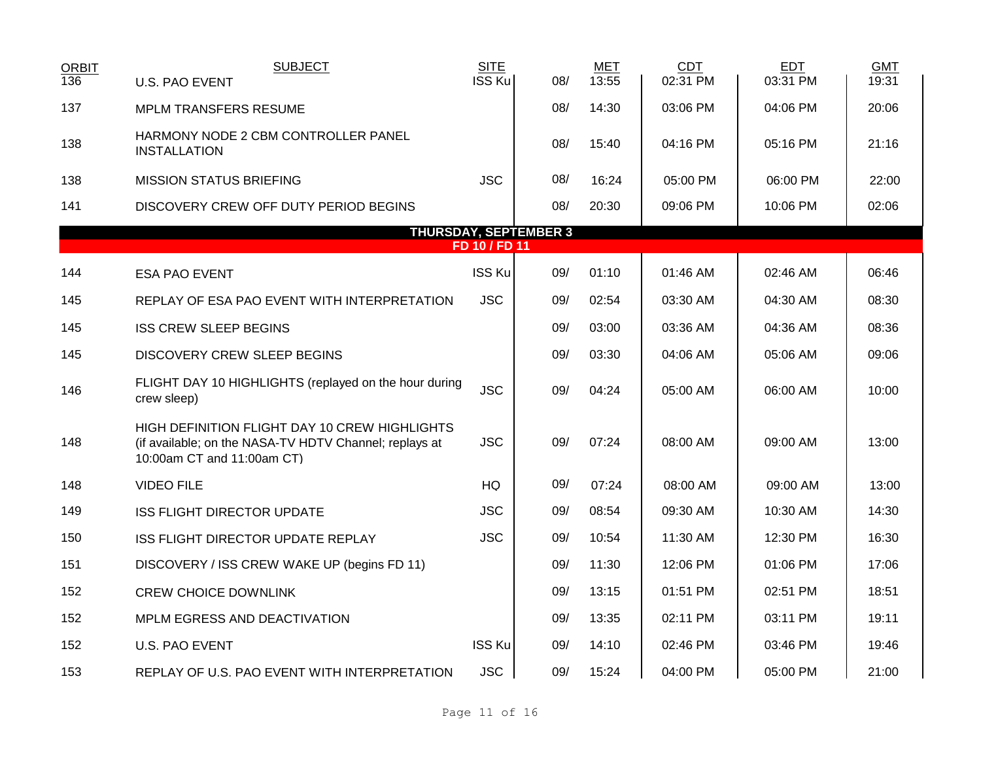| <b>ORBIT</b> | <b>SUBJECT</b>                                                                                                                        | <b>SITE</b>   |                              | <b>MET</b> | <b>CDT</b> | <b>EDT</b> | <b>GMT</b> |
|--------------|---------------------------------------------------------------------------------------------------------------------------------------|---------------|------------------------------|------------|------------|------------|------------|
| 136          | <b>U.S. PAO EVENT</b>                                                                                                                 | ISS Ku        | 08/                          | 13:55      | 02:31 PM   | 03:31 PM   | 19:31      |
| 137          | <b>MPLM TRANSFERS RESUME</b>                                                                                                          |               | 08/                          | 14:30      | 03:06 PM   | 04:06 PM   | 20:06      |
| 138          | HARMONY NODE 2 CBM CONTROLLER PANEL<br><b>INSTALLATION</b>                                                                            |               | 08/                          | 15:40      | 04:16 PM   | 05:16 PM   | 21:16      |
| 138          | <b>MISSION STATUS BRIEFING</b>                                                                                                        | <b>JSC</b>    | 08/                          | 16:24      | 05:00 PM   | 06:00 PM   | 22:00      |
| 141          | DISCOVERY CREW OFF DUTY PERIOD BEGINS                                                                                                 |               | 08/                          | 20:30      | 09:06 PM   | 10:06 PM   | 02:06      |
|              |                                                                                                                                       |               | <b>THURSDAY, SEPTEMBER 3</b> |            |            |            |            |
|              |                                                                                                                                       | FD 10 / FD 11 |                              |            |            |            |            |
| 144          | <b>ESA PAO EVENT</b>                                                                                                                  | <b>ISS Ku</b> | 09/                          | 01:10      | 01:46 AM   | 02:46 AM   | 06:46      |
| 145          | REPLAY OF ESA PAO EVENT WITH INTERPRETATION                                                                                           | <b>JSC</b>    | 09/                          | 02:54      | 03:30 AM   | 04:30 AM   | 08:30      |
| 145          | <b>ISS CREW SLEEP BEGINS</b>                                                                                                          |               | 09/                          | 03:00      | 03:36 AM   | 04:36 AM   | 08:36      |
| 145          | <b>DISCOVERY CREW SLEEP BEGINS</b>                                                                                                    |               | 09/                          | 03:30      | 04:06 AM   | 05:06 AM   | 09:06      |
| 146          | FLIGHT DAY 10 HIGHLIGHTS (replayed on the hour during<br>crew sleep)                                                                  | <b>JSC</b>    | 09/                          | 04:24      | 05:00 AM   | 06:00 AM   | 10:00      |
| 148          | HIGH DEFINITION FLIGHT DAY 10 CREW HIGHLIGHTS<br>(if available; on the NASA-TV HDTV Channel; replays at<br>10:00am CT and 11:00am CT) | <b>JSC</b>    | 09/                          | 07:24      | 08:00 AM   | 09:00 AM   | 13:00      |
| 148          | <b>VIDEO FILE</b>                                                                                                                     | <b>HQ</b>     | 09/                          | 07:24      | 08:00 AM   | 09:00 AM   | 13:00      |
| 149          | <b>ISS FLIGHT DIRECTOR UPDATE</b>                                                                                                     | <b>JSC</b>    | 09/                          | 08:54      | 09:30 AM   | 10:30 AM   | 14:30      |
| 150          | ISS FLIGHT DIRECTOR UPDATE REPLAY                                                                                                     | <b>JSC</b>    | 09/                          | 10:54      | 11:30 AM   | 12:30 PM   | 16:30      |
| 151          | DISCOVERY / ISS CREW WAKE UP (begins FD 11)                                                                                           |               | 09/                          | 11:30      | 12:06 PM   | 01:06 PM   | 17:06      |
| 152          | <b>CREW CHOICE DOWNLINK</b>                                                                                                           |               | 09/                          | 13:15      | 01:51 PM   | 02:51 PM   | 18:51      |
| 152          | MPLM EGRESS AND DEACTIVATION                                                                                                          |               | 09/                          | 13:35      | 02:11 PM   | 03:11 PM   | 19:11      |
| 152          | <b>U.S. PAO EVENT</b>                                                                                                                 | ISS Ku        | 09/                          | 14:10      | 02:46 PM   | 03:46 PM   | 19:46      |
| 153          | REPLAY OF U.S. PAO EVENT WITH INTERPRETATION                                                                                          | <b>JSC</b>    | 09/                          | 15:24      | 04:00 PM   | 05:00 PM   | 21:00      |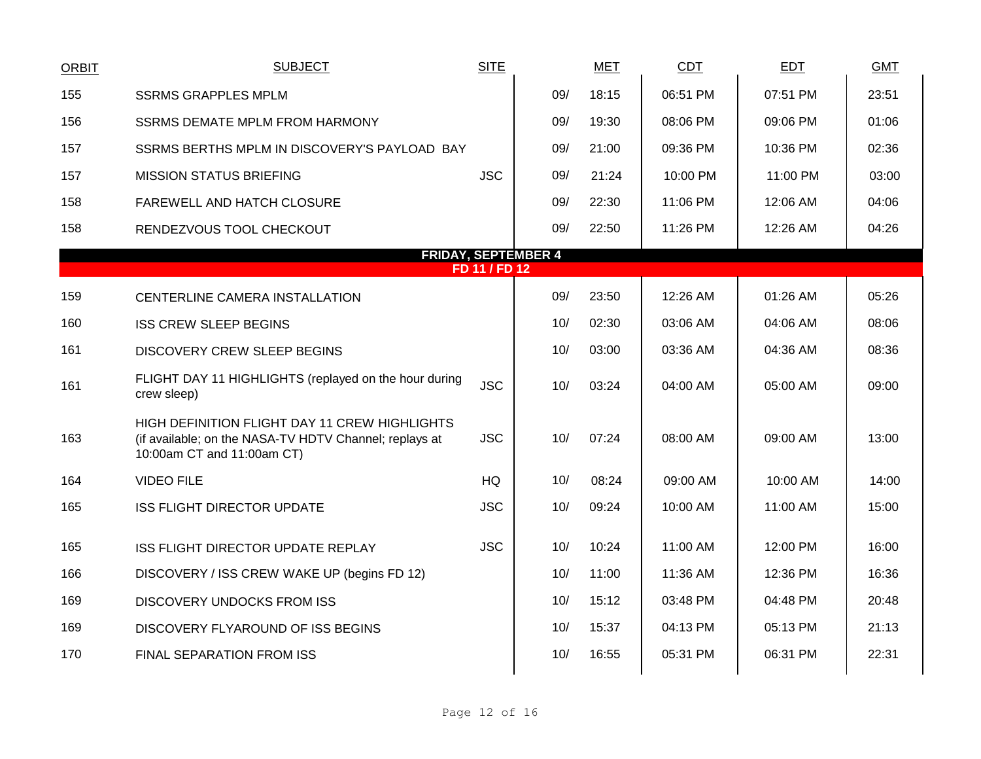| <b>ORBIT</b> | <b>SUBJECT</b>                                                                                                                        | <b>SITE</b> |     | <b>MET</b> | <b>CDT</b> | EDT      | <b>GMT</b> |  |  |  |  |  |
|--------------|---------------------------------------------------------------------------------------------------------------------------------------|-------------|-----|------------|------------|----------|------------|--|--|--|--|--|
| 155          | <b>SSRMS GRAPPLES MPLM</b>                                                                                                            |             | 09/ | 18:15      | 06:51 PM   | 07:51 PM | 23:51      |  |  |  |  |  |
| 156          | <b>SSRMS DEMATE MPLM FROM HARMONY</b>                                                                                                 |             | 09/ | 19:30      | 08:06 PM   | 09:06 PM | 01:06      |  |  |  |  |  |
| 157          | SSRMS BERTHS MPLM IN DISCOVERY'S PAYLOAD BAY                                                                                          |             | 09/ | 21:00      | 09:36 PM   | 10:36 PM | 02:36      |  |  |  |  |  |
| 157          | <b>MISSION STATUS BRIEFING</b>                                                                                                        | <b>JSC</b>  | 09/ | 21:24      | 10:00 PM   | 11:00 PM | 03:00      |  |  |  |  |  |
| 158          | FAREWELL AND HATCH CLOSURE                                                                                                            |             | 09/ | 22:30      | 11:06 PM   | 12:06 AM | 04:06      |  |  |  |  |  |
| 158          | RENDEZVOUS TOOL CHECKOUT                                                                                                              |             | 09/ | 22:50      | 11:26 PM   | 12:26 AM | 04:26      |  |  |  |  |  |
|              | <b>FRIDAY, SEPTEMBER 4</b><br>FD 11 / FD 12                                                                                           |             |     |            |            |          |            |  |  |  |  |  |
| 159          | CENTERLINE CAMERA INSTALLATION                                                                                                        |             | 09/ | 23:50      | 12:26 AM   | 01:26 AM | 05:26      |  |  |  |  |  |
|              |                                                                                                                                       |             |     |            |            |          |            |  |  |  |  |  |
| 160          | <b>ISS CREW SLEEP BEGINS</b>                                                                                                          |             | 10/ | 02:30      | 03:06 AM   | 04:06 AM | 08:06      |  |  |  |  |  |
| 161          | DISCOVERY CREW SLEEP BEGINS                                                                                                           |             | 10/ | 03:00      | 03:36 AM   | 04:36 AM | 08:36      |  |  |  |  |  |
| 161          | FLIGHT DAY 11 HIGHLIGHTS (replayed on the hour during<br>crew sleep)                                                                  | <b>JSC</b>  | 10/ | 03:24      | 04:00 AM   | 05:00 AM | 09:00      |  |  |  |  |  |
| 163          | HIGH DEFINITION FLIGHT DAY 11 CREW HIGHLIGHTS<br>(if available; on the NASA-TV HDTV Channel; replays at<br>10:00am CT and 11:00am CT) | <b>JSC</b>  | 10/ | 07:24      | 08:00 AM   | 09:00 AM | 13:00      |  |  |  |  |  |
| 164          | <b>VIDEO FILE</b>                                                                                                                     | HQ          | 10/ | 08:24      | 09:00 AM   | 10:00 AM | 14:00      |  |  |  |  |  |
| 165          | <b>ISS FLIGHT DIRECTOR UPDATE</b>                                                                                                     | <b>JSC</b>  | 10/ | 09:24      | 10:00 AM   | 11:00 AM | 15:00      |  |  |  |  |  |
| 165          | ISS FLIGHT DIRECTOR UPDATE REPLAY                                                                                                     | <b>JSC</b>  | 10/ | 10:24      | 11:00 AM   | 12:00 PM | 16:00      |  |  |  |  |  |
| 166          | DISCOVERY / ISS CREW WAKE UP (begins FD 12)                                                                                           |             | 10/ | 11:00      | 11:36 AM   | 12:36 PM | 16:36      |  |  |  |  |  |
| 169          | <b>DISCOVERY UNDOCKS FROM ISS</b>                                                                                                     |             | 10/ | 15:12      | 03:48 PM   | 04:48 PM | 20:48      |  |  |  |  |  |
| 169          | DISCOVERY FLYAROUND OF ISS BEGINS                                                                                                     |             | 10/ | 15:37      | 04:13 PM   | 05:13 PM | 21:13      |  |  |  |  |  |
| 170          | FINAL SEPARATION FROM ISS                                                                                                             |             | 10/ | 16:55      | 05:31 PM   | 06:31 PM | 22:31      |  |  |  |  |  |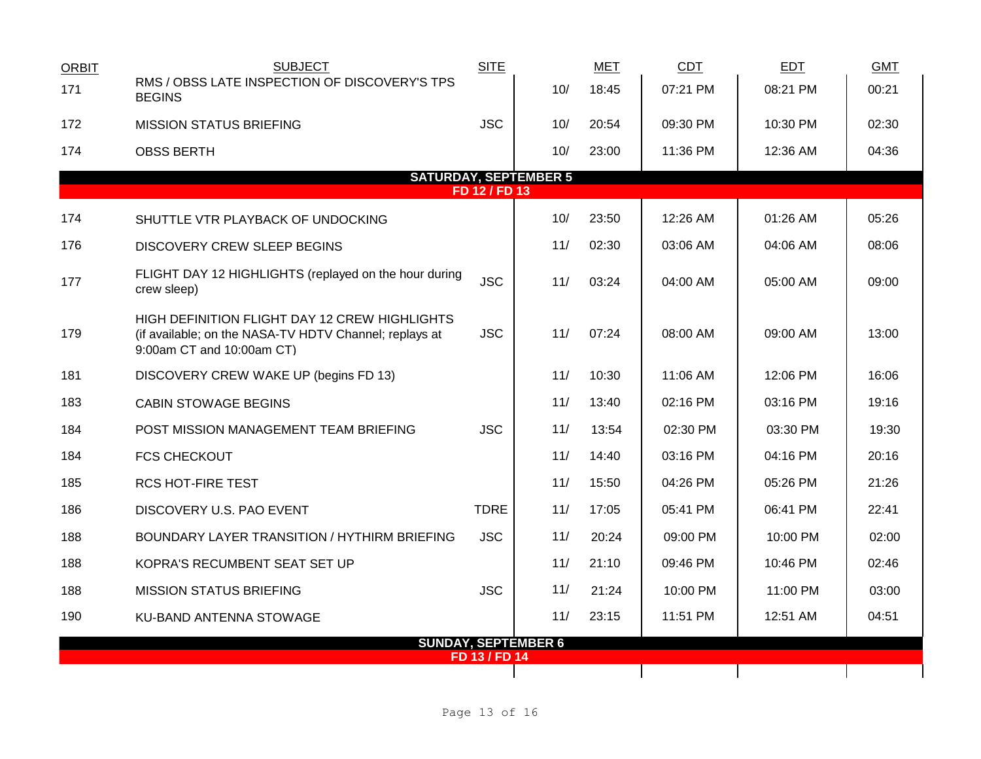| <b>ORBIT</b>                 | <b>SUBJECT</b>                                                                                                                       | <b>SITE</b>   |     | <b>MET</b> | <b>CDT</b> | <b>EDT</b> | <b>GMT</b> |  |  |
|------------------------------|--------------------------------------------------------------------------------------------------------------------------------------|---------------|-----|------------|------------|------------|------------|--|--|
| 171                          | RMS / OBSS LATE INSPECTION OF DISCOVERY'S TPS<br><b>BEGINS</b>                                                                       |               | 10/ | 18:45      | 07:21 PM   | 08:21 PM   | 00:21      |  |  |
| 172                          | <b>MISSION STATUS BRIEFING</b>                                                                                                       | <b>JSC</b>    | 10/ | 20:54      | 09:30 PM   | 10:30 PM   | 02:30      |  |  |
| 174                          | <b>OBSS BERTH</b>                                                                                                                    |               | 10/ | 23:00      | 11:36 PM   | 12:36 AM   | 04:36      |  |  |
| <b>SATURDAY, SEPTEMBER 5</b> |                                                                                                                                      |               |     |            |            |            |            |  |  |
| FD 12 / FD 13                |                                                                                                                                      |               |     |            |            |            |            |  |  |
| 174                          | SHUTTLE VTR PLAYBACK OF UNDOCKING                                                                                                    |               | 10/ | 23:50      | 12:26 AM   | $01:26$ AM | 05:26      |  |  |
| 176                          | DISCOVERY CREW SLEEP BEGINS                                                                                                          |               | 11/ | 02:30      | 03:06 AM   | 04:06 AM   | 08:06      |  |  |
| 177                          | FLIGHT DAY 12 HIGHLIGHTS (replayed on the hour during<br>crew sleep)                                                                 | <b>JSC</b>    | 11/ | 03:24      | 04:00 AM   | 05:00 AM   | 09:00      |  |  |
| 179                          | HIGH DEFINITION FLIGHT DAY 12 CREW HIGHLIGHTS<br>(if available; on the NASA-TV HDTV Channel; replays at<br>9:00am CT and 10:00am CT) | <b>JSC</b>    | 11/ | 07:24      | 08:00 AM   | 09:00 AM   | 13:00      |  |  |
| 181                          | DISCOVERY CREW WAKE UP (begins FD 13)                                                                                                |               | 11/ | 10:30      | 11:06 AM   | 12:06 PM   | 16:06      |  |  |
| 183                          | <b>CABIN STOWAGE BEGINS</b>                                                                                                          |               | 11/ | 13:40      | 02:16 PM   | 03:16 PM   | 19:16      |  |  |
| 184                          | POST MISSION MANAGEMENT TEAM BRIEFING                                                                                                | <b>JSC</b>    | 11/ | 13:54      | 02:30 PM   | 03:30 PM   | 19:30      |  |  |
| 184                          | <b>FCS CHECKOUT</b>                                                                                                                  |               | 11/ | 14:40      | 03:16 PM   | 04:16 PM   | 20:16      |  |  |
| 185                          | <b>RCS HOT-FIRE TEST</b>                                                                                                             |               | 11/ | 15:50      | 04:26 PM   | 05:26 PM   | 21:26      |  |  |
| 186                          | DISCOVERY U.S. PAO EVENT                                                                                                             | <b>TDRE</b>   | 11/ | 17:05      | 05:41 PM   | 06:41 PM   | 22:41      |  |  |
| 188                          | BOUNDARY LAYER TRANSITION / HYTHIRM BRIEFING                                                                                         | <b>JSC</b>    | 11/ | 20:24      | 09:00 PM   | 10:00 PM   | 02:00      |  |  |
| 188                          | KOPRA'S RECUMBENT SEAT SET UP                                                                                                        |               | 11/ | 21:10      | 09:46 PM   | 10:46 PM   | 02:46      |  |  |
| 188                          | <b>MISSION STATUS BRIEFING</b>                                                                                                       | <b>JSC</b>    | 11/ | 21:24      | 10:00 PM   | 11:00 PM   | 03:00      |  |  |
| 190                          | KU-BAND ANTENNA STOWAGE                                                                                                              |               | 11/ | 23:15      | 11:51 PM   | 12:51 AM   | 04:51      |  |  |
| <b>SUNDAY, SEPTEMBER 6</b>   |                                                                                                                                      |               |     |            |            |            |            |  |  |
|                              |                                                                                                                                      | FD 13 / FD 14 |     |            |            |            |            |  |  |
|                              |                                                                                                                                      |               |     |            |            |            |            |  |  |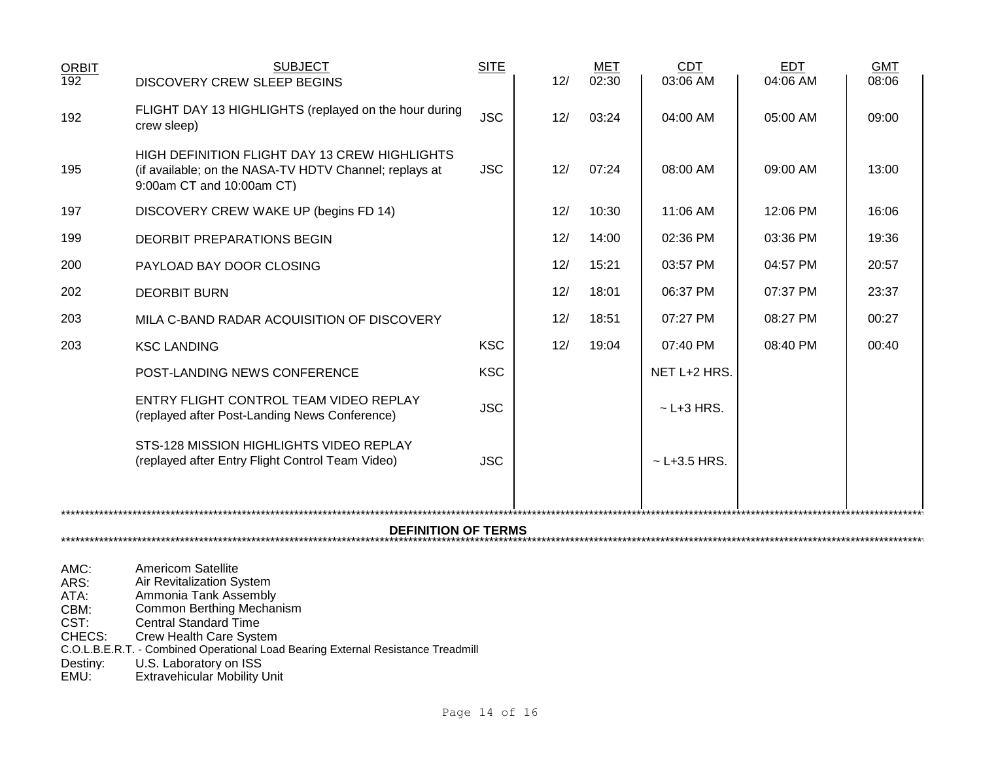| <b>ORBIT</b>     | <b>SUBJECT</b>                                                                                                                              | <b>SITE</b> |     | <b>MET</b> | <b>CDT</b>        | <b>EDT</b> | <b>GMT</b> |  |  |
|------------------|---------------------------------------------------------------------------------------------------------------------------------------------|-------------|-----|------------|-------------------|------------|------------|--|--|
| $\overline{192}$ | <b>DISCOVERY CREW SLEEP BEGINS</b>                                                                                                          |             | 12/ | 02:30      | 03:06 AM          | 04:06 AM   | 08:06      |  |  |
| 192              | FLIGHT DAY 13 HIGHLIGHTS (replayed on the hour during<br>crew sleep)                                                                        | <b>JSC</b>  | 12/ | 03:24      | 04:00 AM          | 05:00 AM   | 09:00      |  |  |
| 195              | <b>HIGH DEFINITION FLIGHT DAY 13 CREW HIGHLIGHTS</b><br>(if available; on the NASA-TV HDTV Channel; replays at<br>9:00am CT and 10:00am CT) | <b>JSC</b>  | 12/ | 07:24      | 08:00 AM          | 09:00 AM   | 13:00      |  |  |
| 197              | DISCOVERY CREW WAKE UP (begins FD 14)                                                                                                       |             | 12/ | 10:30      | 11:06 AM          | 12:06 PM   | 16:06      |  |  |
| 199              | DEORBIT PREPARATIONS BEGIN                                                                                                                  |             | 12/ | 14:00      | 02:36 PM          | 03:36 PM   | 19:36      |  |  |
| 200              | PAYLOAD BAY DOOR CLOSING                                                                                                                    |             | 12/ | 15:21      | 03:57 PM          | 04:57 PM   | 20:57      |  |  |
| 202              | <b>DEORBIT BURN</b>                                                                                                                         |             | 12/ | 18:01      | 06:37 PM          | 07:37 PM   | 23:37      |  |  |
| 203              | MILA C-BAND RADAR ACQUISITION OF DISCOVERY                                                                                                  |             | 12/ | 18:51      | 07:27 PM          | 08:27 PM   | 00:27      |  |  |
| 203              | <b>KSC LANDING</b>                                                                                                                          | <b>KSC</b>  | 12/ | 19:04      | 07:40 PM          | 08:40 PM   | 00:40      |  |  |
|                  | POST-LANDING NEWS CONFERENCE                                                                                                                | <b>KSC</b>  |     |            | NET L+2 HRS.      |            |            |  |  |
|                  | ENTRY FLIGHT CONTROL TEAM VIDEO REPLAY<br>(replayed after Post-Landing News Conference)                                                     | <b>JSC</b>  |     |            | $\sim$ L+3 HRS.   |            |            |  |  |
|                  | STS-128 MISSION HIGHLIGHTS VIDEO REPLAY<br>(replayed after Entry Flight Control Team Video)                                                 | <b>JSC</b>  |     |            | $\sim$ L+3.5 HRS. |            |            |  |  |
|                  |                                                                                                                                             |             |     |            |                   |            |            |  |  |
|                  |                                                                                                                                             |             |     |            |                   |            |            |  |  |
|                  |                                                                                                                                             |             |     |            |                   |            |            |  |  |

AMC: Americom Satellite<br>ARS: Air Revitalization Sy ARS: Air Revitalization System ATA: Ammonia Tank Assembly CBM: Common Berthing Mechanism CST: Central Standard Time CHECS: Crew Health Care System C.O.L.B.E.R.T. - Combined Operational Load Bearing External Resistance Treadmill Destiny: U.S. Laboratory on ISS EMU: Extravehicular Mobility Unit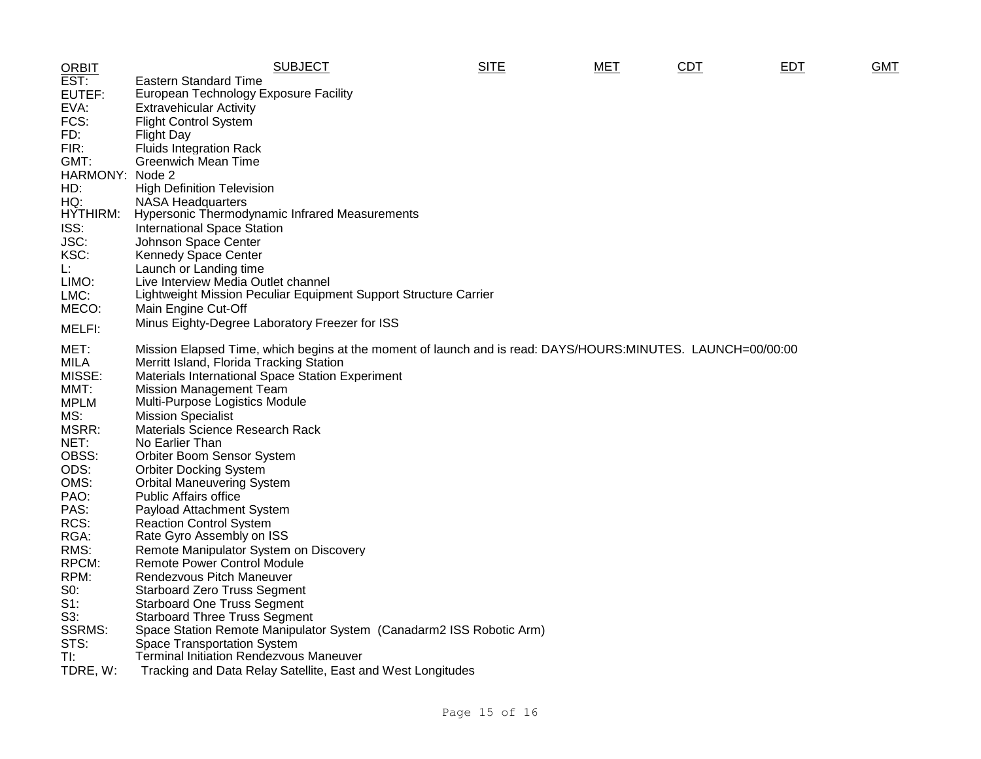| <b>ORBIT</b>  | <b>SUBJECT</b>                                                                                              | <b>SITE</b> | <b>MET</b> | CDT | EDT | <b>GMT</b> |
|---------------|-------------------------------------------------------------------------------------------------------------|-------------|------------|-----|-----|------------|
| EST:          | <b>Eastern Standard Time</b>                                                                                |             |            |     |     |            |
| EUTEF:        | European Technology Exposure Facility                                                                       |             |            |     |     |            |
| EVA:          | Extravehicular Activity                                                                                     |             |            |     |     |            |
| FCS:          | <b>Flight Control System</b>                                                                                |             |            |     |     |            |
| FD:           | <b>Flight Day</b>                                                                                           |             |            |     |     |            |
| FIR:          | <b>Fluids Integration Rack</b>                                                                              |             |            |     |     |            |
| GMT:          | <b>Greenwich Mean Time</b>                                                                                  |             |            |     |     |            |
| HARMONY:      | Node 2                                                                                                      |             |            |     |     |            |
| HD:           | <b>High Definition Television</b>                                                                           |             |            |     |     |            |
| HQ:           | <b>NASA Headquarters</b>                                                                                    |             |            |     |     |            |
| HYTHIRM:      | Hypersonic Thermodynamic Infrared Measurements                                                              |             |            |     |     |            |
| ISS:          | <b>International Space Station</b>                                                                          |             |            |     |     |            |
| JSC:          | Johnson Space Center                                                                                        |             |            |     |     |            |
| KSC:          | <b>Kennedy Space Center</b>                                                                                 |             |            |     |     |            |
| Ŀ.            | Launch or Landing time                                                                                      |             |            |     |     |            |
| LIMO:         | Live Interview Media Outlet channel                                                                         |             |            |     |     |            |
| LMC:          | Lightweight Mission Peculiar Equipment Support Structure Carrier                                            |             |            |     |     |            |
| MECO:         | Main Engine Cut-Off                                                                                         |             |            |     |     |            |
| MELFI:        | Minus Eighty-Degree Laboratory Freezer for ISS                                                              |             |            |     |     |            |
|               |                                                                                                             |             |            |     |     |            |
| MET:          | Mission Elapsed Time, which begins at the moment of launch and is read: DAYS/HOURS:MINUTES. LAUNCH=00/00:00 |             |            |     |     |            |
| <b>MILA</b>   | Merritt Island, Florida Tracking Station                                                                    |             |            |     |     |            |
| MISSE:        | Materials International Space Station Experiment                                                            |             |            |     |     |            |
| MMT:          | <b>Mission Management Team</b>                                                                              |             |            |     |     |            |
| <b>MPLM</b>   | Multi-Purpose Logistics Module                                                                              |             |            |     |     |            |
| MS:           | <b>Mission Specialist</b>                                                                                   |             |            |     |     |            |
| MSRR:         | Materials Science Research Rack                                                                             |             |            |     |     |            |
| NET:          | No Earlier Than                                                                                             |             |            |     |     |            |
| OBSS:         | Orbiter Boom Sensor System                                                                                  |             |            |     |     |            |
| ODS:          | <b>Orbiter Docking System</b>                                                                               |             |            |     |     |            |
| OMS:          | <b>Orbital Maneuvering System</b>                                                                           |             |            |     |     |            |
| PAO:          | Public Affairs office                                                                                       |             |            |     |     |            |
| PAS:          | Payload Attachment System                                                                                   |             |            |     |     |            |
| RCS:          | <b>Reaction Control System</b>                                                                              |             |            |     |     |            |
| RGA:          | Rate Gyro Assembly on ISS                                                                                   |             |            |     |     |            |
| RMS:          | Remote Manipulator System on Discovery                                                                      |             |            |     |     |            |
| RPCM:         | Remote Power Control Module                                                                                 |             |            |     |     |            |
| RPM:          | Rendezvous Pitch Maneuver                                                                                   |             |            |     |     |            |
| $S0$ :        | <b>Starboard Zero Truss Segment</b>                                                                         |             |            |     |     |            |
| $S1$ :        | <b>Starboard One Truss Segment</b>                                                                          |             |            |     |     |            |
| S3:           | <b>Starboard Three Truss Segment</b>                                                                        |             |            |     |     |            |
| <b>SSRMS:</b> | Space Station Remote Manipulator System (Canadarm2 ISS Robotic Arm)                                         |             |            |     |     |            |
| STS:          | Space Transportation System                                                                                 |             |            |     |     |            |
| TI:           | <b>Terminal Initiation Rendezvous Maneuver</b>                                                              |             |            |     |     |            |
| TDRE, W:      | Tracking and Data Relay Satellite, East and West Longitudes                                                 |             |            |     |     |            |